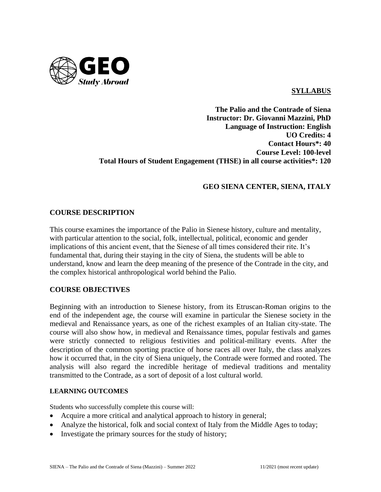

### **SYLLABUS**

## **The Palio and the Contrade of Siena Instructor: Dr. Giovanni Mazzini, PhD Language of Instruction: English UO Credits: 4 Contact Hours\*: 40 Course Level: 100-level Total Hours of Student Engagement (THSE) in all course activities\*: 120**

## **GEO SIENA CENTER, SIENA, ITALY**

### **COURSE DESCRIPTION**

This course examines the importance of the Palio in Sienese history, culture and mentality, with particular attention to the social, folk, intellectual, political, economic and gender implications of this ancient event, that the Sienese of all times considered their rite. It's fundamental that, during their staying in the city of Siena, the students will be able to understand, know and learn the deep meaning of the presence of the Contrade in the city, and the complex historical anthropological world behind the Palio.

### **COURSE OBJECTIVES**

Beginning with an introduction to Sienese history, from its Etruscan-Roman origins to the end of the independent age, the course will examine in particular the Sienese society in the medieval and Renaissance years, as one of the richest examples of an Italian city-state. The course will also show how, in medieval and Renaissance times, popular festivals and games were strictly connected to religious festivities and political-military events. After the description of the common sporting practice of horse races all over Italy, the class analyzes how it occurred that, in the city of Siena uniquely, the Contrade were formed and rooted. The analysis will also regard the incredible heritage of medieval traditions and mentality transmitted to the Contrade, as a sort of deposit of a lost cultural world.

#### **LEARNING OUTCOMES**

Students who successfully complete this course will:

- Acquire a more critical and analytical approach to history in general;
- Analyze the historical, folk and social context of Italy from the Middle Ages to today;
- Investigate the primary sources for the study of history;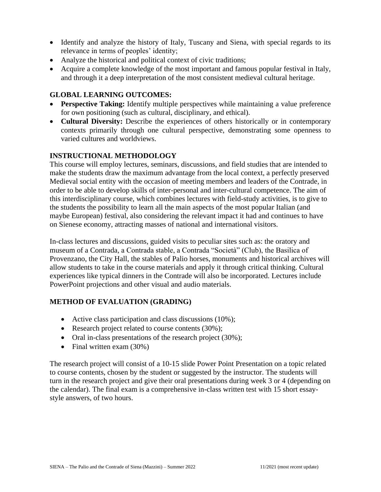- Identify and analyze the history of Italy, Tuscany and Siena, with special regards to its relevance in terms of peoples' identity;
- Analyze the historical and political context of civic traditions;
- Acquire a complete knowledge of the most important and famous popular festival in Italy, and through it a deep interpretation of the most consistent medieval cultural heritage.

### **GLOBAL LEARNING OUTCOMES:**

- **Perspective Taking:** Identify multiple perspectives while maintaining a value preference for own positioning (such as cultural, disciplinary, and ethical).
- **Cultural Diversity:** Describe the experiences of others historically or in contemporary contexts primarily through one cultural perspective, demonstrating some openness to varied cultures and worldviews.

### **INSTRUCTIONAL METHODOLOGY**

This course will employ lectures, seminars, discussions, and field studies that are intended to make the students draw the maximum advantage from the local context, a perfectly preserved Medieval social entity with the occasion of meeting members and leaders of the Contrade, in order to be able to develop skills of inter-personal and inter-cultural competence. The aim of this interdisciplinary course, which combines lectures with field-study activities, is to give to the students the possibility to learn all the main aspects of the most popular Italian (and maybe European) festival, also considering the relevant impact it had and continues to have on Sienese economy, attracting masses of national and international visitors.

In-class lectures and discussions, guided visits to peculiar sites such as: the oratory and museum of a Contrada, a Contrada stable, a Contrada "Società" (Club), the Basilica of Provenzano, the City Hall, the stables of Palio horses, monuments and historical archives will allow students to take in the course materials and apply it through critical thinking. Cultural experiences like typical dinners in the Contrade will also be incorporated. Lectures include PowerPoint projections and other visual and audio materials.

## **METHOD OF EVALUATION (GRADING)**

- Active class participation and class discussions (10%);
- Research project related to course contents (30%);
- Oral in-class presentations of the research project (30%);
- Final written exam  $(30\%)$

The research project will consist of a 10-15 slide Power Point Presentation on a topic related to course contents, chosen by the student or suggested by the instructor. The students will turn in the research project and give their oral presentations during week 3 or 4 (depending on the calendar). The final exam is a comprehensive in-class written test with 15 short essaystyle answers, of two hours.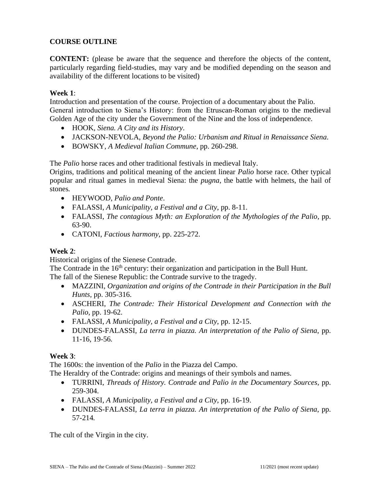# **COURSE OUTLINE**

**CONTENT:** (please be aware that the sequence and therefore the objects of the content, particularly regarding field-studies, may vary and be modified depending on the season and availability of the different locations to be visited)

## **Week 1**:

Introduction and presentation of the course. Projection of a documentary about the Palio. General introduction to Siena's History: from the Etruscan-Roman origins to the medieval Golden Age of the city under the Government of the Nine and the loss of independence.

- HOOK, *Siena. A City and its History*.
- JACKSON-NEVOLA, *Beyond the Palio: Urbanism and Ritual in Renaissance Siena*.
- BOWSKY, *A Medieval Italian Commune*, pp. 260-298.

The *Palio* horse races and other traditional festivals in medieval Italy.

Origins, traditions and political meaning of the ancient linear *Palio* horse race. Other typical popular and ritual games in medieval Siena: the *pugna*, the battle with helmets, the hail of stones*.*

- HEYWOOD, *Palio and Ponte*.
- FALASSI, *A Municipality, a Festival and a City*, pp. 8-11.
- FALASSI, *The contagious Myth: an Exploration of the Mythologies of the Palio*, pp. 63-90.
- CATONI, *Factious harmony*, pp. 225-272.

## **Week 2**:

Historical origins of the Sienese Contrade.

The Contrade in the  $16<sup>th</sup>$  century: their organization and participation in the Bull Hunt. The fall of the Sienese Republic: the Contrade survive to the tragedy.

- MAZZINI, *Organization and origins of the Contrade in their Participation in the Bull Hunts*, pp. 305-316.
- ASCHERI, *The Contrade: Their Historical Development and Connection with the Palio*, pp. 19-62.
- FALASSI, *A Municipality, a Festival and a City*, pp. 12-15.
- DUNDES-FALASSI, *La terra in piazza. An interpretation of the Palio of Siena*, pp. 11-16, 19-56*.*

## **Week 3**:

The 1600s: the invention of the *Palio* in the Piazza del Campo.

The Heraldry of the Contrade: origins and meanings of their symbols and names.

- TURRINI, *Threads of History. Contrade and Palio in the Documentary Sources*, pp. 259-304.
- FALASSI, *A Municipality, a Festival and a City*, pp. 16-19.
- DUNDES-FALASSI, *La terra in piazza. An interpretation of the Palio of Siena*, pp. 57-214*.*

The cult of the Virgin in the city.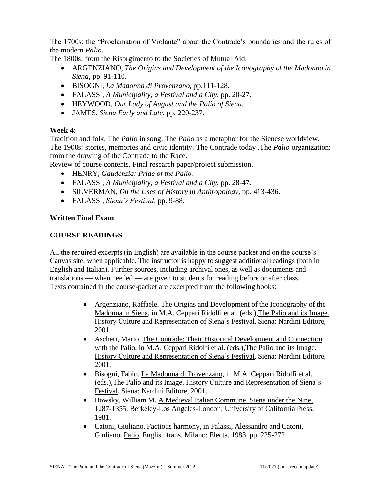The 1700s: the "Proclamation of Violante" about the Contrade's boundaries and the rules of the modern *Palio*.

The 1800s: from the Risorgimento to the Societies of Mutual Aid.

- ARGENZIANO, *The Origins and Development of the Iconography of the Madonna in Siena*, pp. 91-110.
- BISOGNI, *La Madonna di Provenzano*, pp.111-128.
- FALASSI, *A Municipality, a Festival and a City*, pp. 20-27.
- HEYWOOD, *Our Lady of August and the Palio of Siena.*
- JAMES, *Siena Early and Late*, pp. 220-237*.*

# **Week 4**:

Tradition and folk. The *Palio* in song. The *Palio* as a metaphor for the Sienese worldview. The 1900s: stories, memories and civic identity. The Contrade today .The *Palio* organization: from the drawing of the Contrade to the Race.

Review of course contents. Final research paper/project submission.

- HENRY, *Gaudenzia: Pride of the Palio.*
- FALASSI, *A Municipality, a Festival and a City*, pp. 28-47.
- SILVERMAN, *On the Uses of History in Anthropology,* pp. 413-436.
- FALASSI, *Siena's Festival*, pp. 9-88.

# **Written Final Exam**

## **COURSE READINGS**

All the required excerpts (in English) are available in the course packet and on the course's Canvas site, when applicable. The instructor is happy to suggest additional readings (both in English and Italian). Further sources, including archival ones, as well as documents and translations — when needed — are given to students for reading before or after class. Texts contained in the course-packet are excerpted from the following books:

- Argenziano, Raffaele. The Origins and Development of the Iconography of the Madonna in Siena, in M.A. Ceppari Ridolfi et al. (eds.),The Palio and its Image. History Culture and Representation of Siena's Festival. Siena: Nardini Editore, 2001.
- Ascheri, Mario. The Contrade: Their Historical Development and Connection with the Palio, in M.A. Ceppari Ridolfi et al. (eds.),The Palio and its Image. History Culture and Representation of Siena's Festival. Siena: Nardini Editore, 2001.
- Bisogni, Fabio. La Madonna di Provenzano, in M.A. Ceppari Ridolfi et al. (eds.),The Palio and its Image. History Culture and Representation of Siena's Festival. Siena: Nardini Editore, 2001.
- Bowsky, William M. A Medieval Italian Commune. Siena under the Nine, 1287-1355. Berkeley-Los Angeles-London: University of California Press, 1981.
- Catoni, Giuliano. Factious harmony, in Falassi, Alessandro and Catoni, Giuliano. Palio. English trans. Milano: Electa, 1983, pp. 225-272.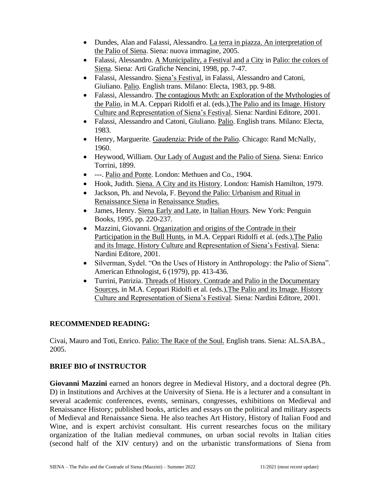- Dundes, Alan and Falassi, Alessandro. La terra in piazza. An interpretation of the Palio of Siena. Siena: nuova immagine, 2005.
- Falassi, Alessandro. A Municipality, a Festival and a City in Palio: the colors of Siena. Siena: Arti Grafiche Nencini, 1998, pp. 7-47.
- Falassi, Alessandro. Siena's Festival, in Falassi, Alessandro and Catoni, Giuliano. Palio. English trans. Milano: Electa, 1983, pp. 9-88.
- Falassi, Alessandro. The contagious Myth: an Exploration of the Mythologies of the Palio, in M.A. Ceppari Ridolfi et al. (eds.),The Palio and its Image. History Culture and Representation of Siena's Festival. Siena: Nardini Editore, 2001.
- Falassi, Alessandro and Catoni, Giuliano. Palio. English trans. Milano: Electa, 1983.
- Henry, Marguerite. Gaudenzia: Pride of the Palio. Chicago: Rand McNally, 1960.
- Heywood, William. Our Lady of August and the Palio of Siena. Siena: Enrico Torrini, 1899.
- ---. Palio and Ponte. London: Methuen and Co., 1904.
- Hook, Judith. Siena. A City and its History. London: Hamish Hamilton, 1979.
- Jackson, Ph. and Nevola, F. Beyond the Palio: Urbanism and Ritual in Renaissance Siena in Renaissance Studies.
- James, Henry. Siena Early and Late, in Italian Hours. New York: Penguin Books, 1995, pp. 220-237.
- Mazzini, Giovanni. Organization and origins of the Contrade in their Participation in the Bull Hunts, in M.A. Ceppari Ridolfi et al. (eds.),The Palio and its Image. History Culture and Representation of Siena's Festival. Siena: Nardini Editore, 2001.
- Silverman, Sydel. "On the Uses of History in Anthropology: the Palio of Siena". American Ethnologist, 6 (1979), pp. 413-436.
- Turrini, Patrizia. Threads of History. Contrade and Palio in the Documentary Sources, in M.A. Ceppari Ridolfi et al. (eds.),The Palio and its Image. History Culture and Representation of Siena's Festival. Siena: Nardini Editore, 2001.

## **RECOMMENDED READING:**

Civai, Mauro and Toti, Enrico. Palio: The Race of the Soul. English trans. Siena: AL.SA.BA., 2005.

# **BRIEF BIO of INSTRUCTOR**

**Giovanni Mazzini** earned an honors degree in Medieval History, and a doctoral degree (Ph. D) in Institutions and Archives at the University of Siena. He is a lecturer and a consultant in several academic conferences, events, seminars, congresses, exhibitions on Medieval and Renaissance History; published books, articles and essays on the political and military aspects of Medieval and Renaissance Siena. He also teaches Art History, History of Italian Food and Wine, and is expert archivist consultant. His current researches focus on the military organization of the Italian medieval communes, on urban social revolts in Italian cities (second half of the XIV century) and on the urbanistic transformations of Siena from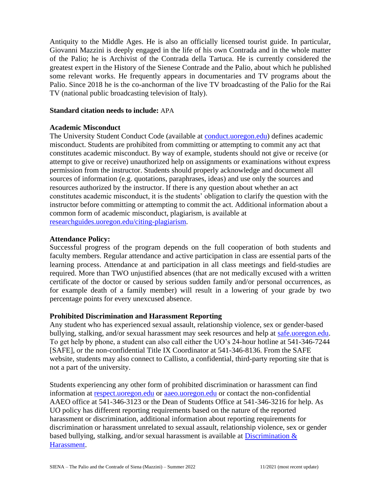Antiquity to the Middle Ages. He is also an officially licensed tourist guide. In particular, Giovanni Mazzini is deeply engaged in the life of his own Contrada and in the whole matter of the Palio; he is Archivist of the Contrada della Tartuca. He is currently considered the greatest expert in the History of the Sienese Contrade and the Palio, about which he published some relevant works. He frequently appears in documentaries and TV programs about the Palio. Since 2018 he is the co-anchorman of the live TV broadcasting of the Palio for the Rai TV (national public broadcasting television of Italy).

### **Standard citation needs to include:** APA

### **Academic Misconduct**

The University Student Conduct Code (available at [conduct.uoregon.edu\)](http://conduct.uoregon.edu/) defines academic misconduct. Students are prohibited from committing or attempting to commit any act that constitutes academic misconduct. By way of example, students should not give or receive (or attempt to give or receive) unauthorized help on assignments or examinations without express permission from the instructor. Students should properly acknowledge and document all sources of information (e.g. quotations, paraphrases, ideas) and use only the sources and resources authorized by the instructor. If there is any question about whether an act constitutes academic misconduct, it is the students' obligation to clarify the question with the instructor before committing or attempting to commit the act. Additional information about a common form of academic misconduct, plagiarism, is available at [researchguides.uoregon.edu/citing-plagiarism.](http://researchguides.uoregon.edu/citing-plagiarism)

#### **Attendance Policy:**

Successful progress of the program depends on the full cooperation of both students and faculty members. Regular attendance and active participation in class are essential parts of the learning process. Attendance at and participation in all class meetings and field-studies are required. More than TWO unjustified absences (that are not medically excused with a written certificate of the doctor or caused by serious sudden family and/or personal occurrences, as for example death of a family member) will result in a lowering of your grade by two percentage points for every unexcused absence.

### **Prohibited Discrimination and Harassment Reporting**

Any student who has experienced sexual assault, relationship violence, sex or gender-based bullying, stalking, and/or sexual harassment may seek resources and help at [safe.uoregon.edu.](http://safe.uoregon.edu/) To get help by phone, a student can also call either the UO's 24-hour hotline at 541-346-7244 [SAFE], or the non-confidential Title IX Coordinator at 541-346-8136. From the SAFE website, students may also connect to Callisto, a confidential, third-party reporting site that is not a part of the university.

Students experiencing any other form of prohibited discrimination or harassment can find information at [respect.uoregon.edu](https://titleix.uoregon.edu/respect.uoregon.edu) or [aaeo.uoregon.edu](https://titleix.uoregon.edu/aaeo.uoregon.edu) or contact the non-confidential AAEO office at 541-346-3123 or the Dean of Students Office at 541-346-3216 for help. As UO policy has different reporting requirements based on the nature of the reported harassment or discrimination, additional information about reporting requirements for discrimination or harassment unrelated to sexual assault, relationship violence, sex or gender based bullying, stalking, and/or sexual harassment is available at Discrimination  $\&$ [Harassment.](http://aaeo.uoregon.edu/content/discrimination-harassment)